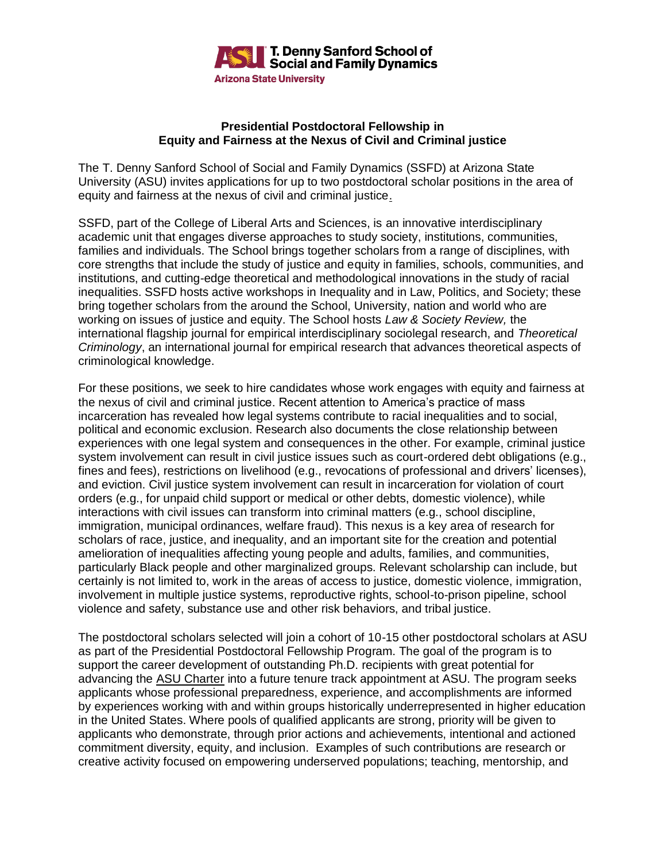

### **Presidential Postdoctoral Fellowship in Equity and Fairness at the Nexus of Civil and Criminal justice**

The T. Denny Sanford School of Social and Family Dynamics (SSFD) at Arizona State University (ASU) invites applications for up to two postdoctoral scholar positions in the area of equity and fairness at the nexus of civil and criminal justice.

SSFD, part of the College of Liberal Arts and Sciences, is an innovative interdisciplinary academic unit that engages diverse approaches to study society, institutions, communities, families and individuals. The School brings together scholars from a range of disciplines, with core strengths that include the study of justice and equity in families, schools, communities, and institutions, and cutting-edge theoretical and methodological innovations in the study of racial inequalities. SSFD hosts active workshops in Inequality and in Law, Politics, and Society; these bring together scholars from the around the School, University, nation and world who are working on issues of justice and equity. The School hosts *Law & Society Review,* the international flagship journal for empirical interdisciplinary sociolegal research, and *Theoretical Criminology*, an international journal for empirical research that advances theoretical aspects of criminological knowledge.

For these positions, we seek to hire candidates whose work engages with equity and fairness at the nexus of civil and criminal justice. Recent attention to America's practice of mass incarceration has revealed how legal systems contribute to racial inequalities and to social, political and economic exclusion. Research also documents the close relationship between experiences with one legal system and consequences in the other. For example, criminal justice system involvement can result in civil justice issues such as court-ordered debt obligations (e.g., fines and fees), restrictions on livelihood (e.g., revocations of professional and drivers' licenses), and eviction. Civil justice system involvement can result in incarceration for violation of court orders (e.g., for unpaid child support or medical or other debts, domestic violence), while interactions with civil issues can transform into criminal matters (e.g., school discipline, immigration, municipal ordinances, welfare fraud). This nexus is a key area of research for scholars of race, justice, and inequality, and an important site for the creation and potential amelioration of inequalities affecting young people and adults, families, and communities, particularly Black people and other marginalized groups. Relevant scholarship can include, but certainly is not limited to, work in the areas of access to justice, domestic violence, immigration, involvement in multiple justice systems, reproductive rights, school-to-prison pipeline, school violence and safety, substance use and other risk behaviors, and tribal justice.

The postdoctoral scholars selected will join a cohort of 10-15 other postdoctoral scholars at ASU as part of the Presidential Postdoctoral Fellowship Program. The goal of the program is to support the career development of outstanding Ph.D. recipients with great potential for advancing the [ASU Charter](https://newamericanuniversity.asu.edu/node/25) into a future tenure track appointment at ASU. The program seeks applicants whose professional preparedness, experience, and accomplishments are informed by experiences working with and within groups historically underrepresented in higher education in the United States. Where pools of qualified applicants are strong, priority will be given to applicants who demonstrate, through prior actions and achievements, intentional and actioned commitment diversity, equity, and inclusion. Examples of such contributions are research or creative activity focused on empowering underserved populations; teaching, mentorship, and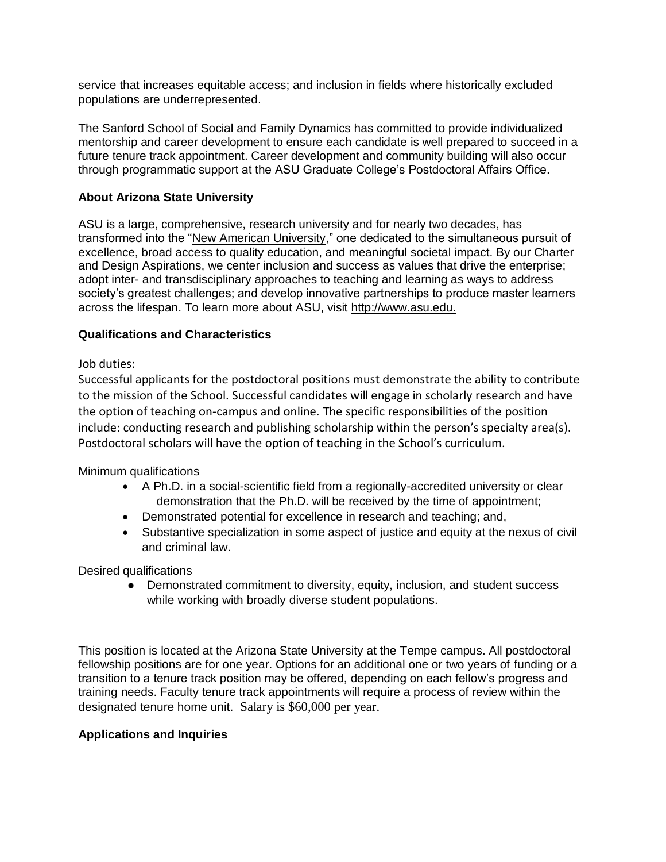service that increases equitable access; and inclusion in fields where historically excluded populations are underrepresented.

The Sanford School of Social and Family Dynamics has committed to provide individualized mentorship and career development to ensure each candidate is well prepared to succeed in a future tenure track appointment. Career development and community building will also occur through programmatic support at the ASU Graduate College's Postdoctoral Affairs Office.

# **About Arizona State University**

ASU is a large, comprehensive, research university and for nearly two decades, has transformed into the ["New American University,](https://newamericanuniversity.asu.edu/home)" one dedicated to the simultaneous pursuit of excellence, broad access to quality education, and meaningful societal impact. By our Charter and Design Aspirations, we center inclusion and success as values that drive the enterprise; adopt inter- and transdisciplinary approaches to teaching and learning as ways to address society's greatest challenges; and develop innovative partnerships to produce master learners across the lifespan. To learn more about ASU, visit [http://www.asu.edu.](http://www.asu.edu/)

## **Qualifications and Characteristics**

# Job duties:

Successful applicants for the postdoctoral positions must demonstrate the ability to contribute to the mission of the School. Successful candidates will engage in scholarly research and have the option of teaching on-campus and online. The specific responsibilities of the position include: conducting research and publishing scholarship within the person's specialty area(s). Postdoctoral scholars will have the option of teaching in the School's curriculum.

Minimum qualifications

- A Ph.D. in a social-scientific field from a regionally-accredited university or clear demonstration that the Ph.D. will be received by the time of appointment;
- Demonstrated potential for excellence in research and teaching; and,
- Substantive specialization in some aspect of justice and equity at the nexus of civil and criminal law.

Desired qualifications

• Demonstrated commitment to diversity, equity, inclusion, and student success while working with broadly diverse student populations.

This position is located at the Arizona State University at the Tempe campus. All postdoctoral fellowship positions are for one year. Options for an additional one or two years of funding or a transition to a tenure track position may be offered, depending on each fellow's progress and training needs. Faculty tenure track appointments will require a process of review within the designated tenure home unit. Salary is \$60,000 per year.

## **Applications and Inquiries**